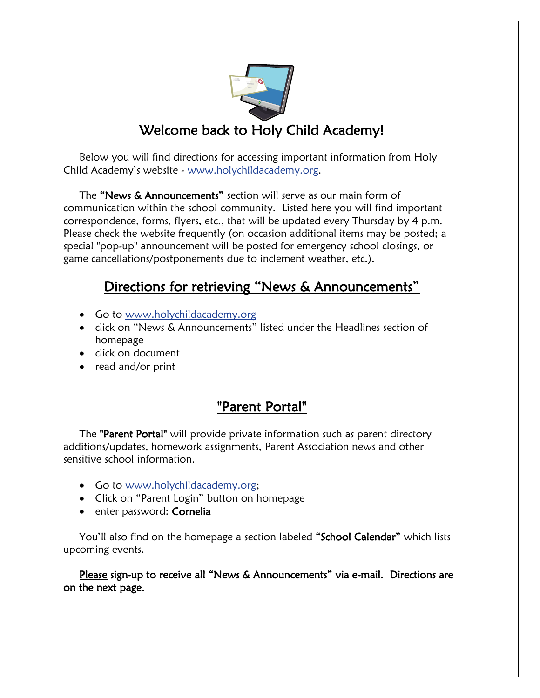

## Welcome back to Holy Child Academy!

Below you will find directions for accessing important information from Holy Child Academy's website - [www.holychildacademy.org.](http://www.holychildacademy.org/)

The "News & Announcements" section will serve as our main form of communication within the school community. Listed here you will find important correspondence, forms, flyers, etc., that will be updated every Thursday by 4 p.m. Please check the website frequently (on occasion additional items may be posted; a special "pop-up" announcement will be posted for emergency school closings, or game cancellations/postponements due to inclement weather, etc.).

#### Directions for retrieving "News & Announcements"

- Go to [www.holychildacademy.org](http://www.holychildacademy.org/)
- click on "News & Announcements" listed under the Headlines section of homepage
- click on document
- read and/or print

## "Parent Portal"

The **"Parent Portal"** will provide private information such as parent directory additions/updates, homework assignments, Parent Association news and other sensitive school information.

- Go to [www.holychildacademy.org;](http://www.holychildacademy.org/)
- Click on "Parent Login" button on homepage
- enter password: Cornelia

You'll also find on the homepage a section labeled "School Calendar" which lists upcoming events.

Please sign-up to receive all "News & Announcements" via e-mail. Directions are on the next page.